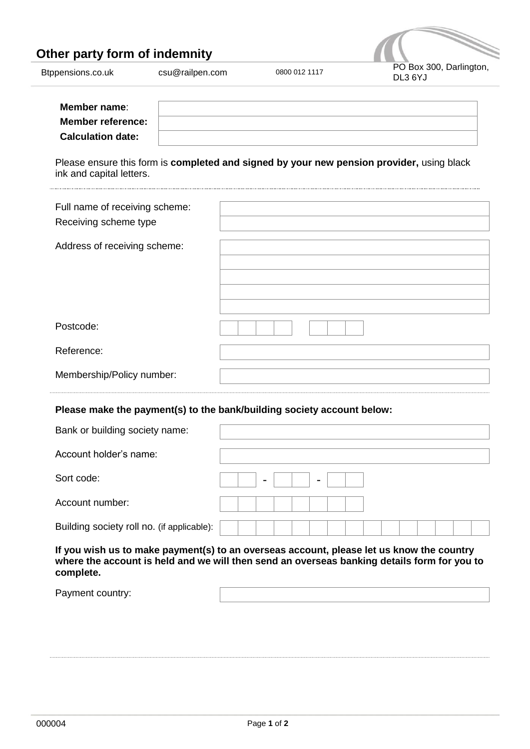## **Other party form of indemnity**



| Member name:<br><b>Member reference:</b> |                                                                                           |
|------------------------------------------|-------------------------------------------------------------------------------------------|
| <b>Calculation date:</b>                 |                                                                                           |
| ink and capital letters.                 | Please ensure this form is completed and signed by your new pension provider, using black |
| Full name of receiving scheme:           |                                                                                           |
| Receiving scheme type                    |                                                                                           |
| Address of receiving scheme:             |                                                                                           |
|                                          |                                                                                           |
|                                          |                                                                                           |
|                                          |                                                                                           |
| Postcode:                                |                                                                                           |
| Reference:                               |                                                                                           |
| Membership/Policy number:                |                                                                                           |
|                                          | Please make the payment(s) to the bank/building society account below:                    |
| Bank or building society name:           |                                                                                           |
| Account holder's name:                   |                                                                                           |
| Sort code:                               |                                                                                           |
| Account number:                          |                                                                                           |

Building society roll no. (if applicable):

**If you wish us to make payment(s) to an overseas account, please let us know the country where the account is held and we will then send an overseas banking details form for you to complete.**

Payment country: